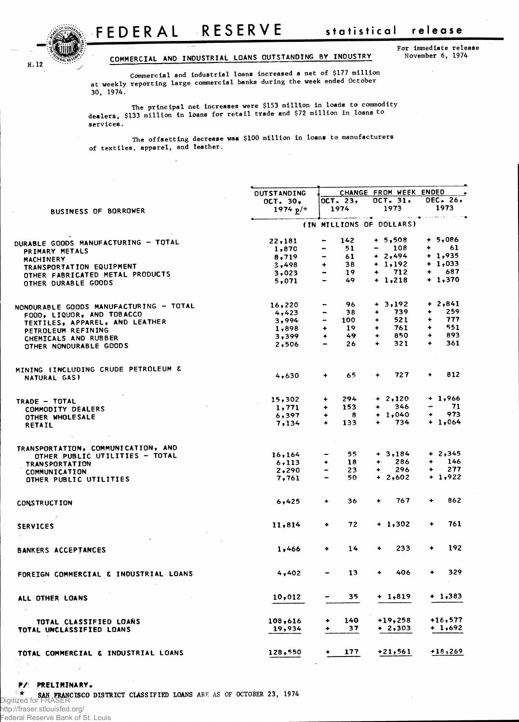

## **COMMERCIA L A N D INDUSTRIAL LOAN S OUTSTANDIN G BY INDUSTR Y November 6, 1974**

**For immediate release**

**Commercial and industrial loans increased a net of \$177 million at weekly reporting large commercial banks during the week ended October 30, 1974.**

**The principal net increases were \$153 million in loads to commodity dealers, \$133 million in loans for retail trade and \$72 million in loans to services.** 

**The offsetting decrease was \$100 million in loans to manufacturers of textiles, apparel, and leather.**

| <b>OUTSTANDING</b><br>OCT. 23,<br>$OCT - 30$<br>1974<br>1974 $p$ /*<br><b>BUSINESS OF BORROWER</b><br>142<br>22,181<br>$\qquad \qquad \blacksquare$<br><b>DURABLE GOODS MANUFACTURING - TOTAL</b> | CHANGE FROM WEEK ENDED<br>$OCT - 31$<br>1973<br>والمستحدث والمتماد والمتواطئ المستستست<br>(IN MILLIONS OF DOLLARS)<br>$+ 5,508$<br>108<br>-<br>$+ 2,494$<br>$+ 1,192$<br>712<br>$\ddotmark$ | <b>DEC. 26,</b><br>1973<br>والمرتب ومروود<br>$+ 5,086$<br>61<br>$+$ $-$ |
|---------------------------------------------------------------------------------------------------------------------------------------------------------------------------------------------------|---------------------------------------------------------------------------------------------------------------------------------------------------------------------------------------------|-------------------------------------------------------------------------|
|                                                                                                                                                                                                   |                                                                                                                                                                                             |                                                                         |
|                                                                                                                                                                                                   |                                                                                                                                                                                             |                                                                         |
|                                                                                                                                                                                                   |                                                                                                                                                                                             |                                                                         |
|                                                                                                                                                                                                   |                                                                                                                                                                                             |                                                                         |
|                                                                                                                                                                                                   |                                                                                                                                                                                             |                                                                         |
|                                                                                                                                                                                                   |                                                                                                                                                                                             |                                                                         |
| 51<br>1,870<br>$\qquad \qquad \blacksquare$                                                                                                                                                       |                                                                                                                                                                                             |                                                                         |
| PRIMARY METALS<br>61<br>8,719<br>$\overline{\phantom{0}}$                                                                                                                                         |                                                                                                                                                                                             | $+ 1,935$                                                               |
| MACHINERY<br>38<br>$\ddot{}$                                                                                                                                                                      |                                                                                                                                                                                             | $+1,033$                                                                |
| 3,498<br>TRANSPORTATION EQUIPMENT                                                                                                                                                                 |                                                                                                                                                                                             | $+$<br>687                                                              |
| 19<br>$\hbox{\small -}$<br>3,023<br>OTHER FABRICATED METAL PRODUCTS                                                                                                                               |                                                                                                                                                                                             |                                                                         |
| 49<br>5,071<br>OTHER DURABLE GOODS                                                                                                                                                                | $+ 1,218$                                                                                                                                                                                   | $+1,370$                                                                |
| 96<br>16,220<br>-<br>NONDURABLE GOODS MANUFACTURING - TOTAL                                                                                                                                       | $+ 3,192$                                                                                                                                                                                   | $+2,841$                                                                |
| 38<br>4,423<br>-                                                                                                                                                                                  | 739                                                                                                                                                                                         | 259<br>۰                                                                |
| FOOD, LIQUOR, AND TOBACCO<br>3,994<br>-<br>100                                                                                                                                                    | 521<br>۰                                                                                                                                                                                    | 777<br>٠                                                                |
| TEXTILES, APPAREL, AND LEATHER<br>19                                                                                                                                                              | 761<br>٠                                                                                                                                                                                    | 551<br>$\ddot{\phantom{1}}$                                             |
| $\ddot{\phantom{1}}$<br>1,898<br>PETROLEUM REFINING                                                                                                                                               |                                                                                                                                                                                             |                                                                         |
| 49<br>3,399<br>$\ddotmark$<br>CHEMICALS AND RUBBER                                                                                                                                                | 850<br>٠                                                                                                                                                                                    | 893<br>$\ddotmark$                                                      |
| 26<br>2,506<br>OTHER NONDURABLE GOODS                                                                                                                                                             | 321<br>۰                                                                                                                                                                                    | 361<br>$\ddotmark$                                                      |
| MINING (INCLUDING CRUDE PETROLEUM &                                                                                                                                                               |                                                                                                                                                                                             |                                                                         |
| 65<br>4.630<br>۰<br>NATURAL GAS)                                                                                                                                                                  | 727<br>$+ +$                                                                                                                                                                                | 812<br>$\ddotmark$                                                      |
| 294<br>15,302<br>۰                                                                                                                                                                                | $+ 2,120$                                                                                                                                                                                   | $+1,966$                                                                |
| TRADE - TOTAL<br>153<br>1,771<br>۰                                                                                                                                                                | 346<br>۰                                                                                                                                                                                    | 71                                                                      |
| COMMODITY DEALERS<br>- 8                                                                                                                                                                          | $+ 1,040$                                                                                                                                                                                   | 973<br>۰                                                                |
| 6,397<br>۰<br>OTHER WHOLESALE<br>$\ddotmark$                                                                                                                                                      | 734<br>$\ddotmark$                                                                                                                                                                          | $+ 1,064$                                                               |
| 133<br>7,134<br><b>RETAIL</b>                                                                                                                                                                     |                                                                                                                                                                                             |                                                                         |
| TRANSPORTATION, COMMUNICATION, AND                                                                                                                                                                |                                                                                                                                                                                             |                                                                         |
| 55.<br>16,164<br>-<br>OTHER PUBLIC UTILITIES - TOTAL                                                                                                                                              | $+3,184$                                                                                                                                                                                    | $+2,345$                                                                |
| 18<br>6,113<br>٠<br><b>TRANSPORTATION</b>                                                                                                                                                         | 286<br>$\ddotmark$                                                                                                                                                                          | 146<br>۰                                                                |
| 23<br>2,290<br>COMMUNICATION                                                                                                                                                                      | 296<br>٠                                                                                                                                                                                    | 277<br>۰                                                                |
| 50.<br>7,761<br>OTHER PUBLIC UTILITIES                                                                                                                                                            | $+2,602$                                                                                                                                                                                    | $+ 1,922$                                                               |
|                                                                                                                                                                                                   |                                                                                                                                                                                             |                                                                         |
| 36<br>6,425<br>۰<br><b>CONSTRUCTION</b>                                                                                                                                                           | 767<br>۰                                                                                                                                                                                    | 862<br>٠                                                                |
| 72<br>$\bullet$<br>11,814<br><b>SERVICES</b>                                                                                                                                                      | $+ 1,302$                                                                                                                                                                                   | 761<br>٠                                                                |
|                                                                                                                                                                                                   |                                                                                                                                                                                             |                                                                         |
| 14<br>1,466<br>۰<br><b>BANKERS ACCEPTANCES</b>                                                                                                                                                    | 233<br>۰                                                                                                                                                                                    | 192<br>۰                                                                |
| 13<br>4,402<br>FOREIGN COMMERCIAL & INDUSTRIAL LOANS                                                                                                                                              | 406                                                                                                                                                                                         | 329<br>۰                                                                |
| 10,012<br>35<br>an in                                                                                                                                                                             | + 1,819                                                                                                                                                                                     | $+1,383$                                                                |
| ALL OTHER LOANS                                                                                                                                                                                   |                                                                                                                                                                                             |                                                                         |
| 140<br>108,616<br>٠<br>TOTAL CLASSIFIED LOANS                                                                                                                                                     | $+19,258$                                                                                                                                                                                   | $+16,577$                                                               |
| 37<br>19,934<br>TOTAL UNCLASSIFIED LOANS                                                                                                                                                          | + 2,303                                                                                                                                                                                     | $+ 1,692$                                                               |
| 177<br>128,550<br>٠<br>TOTAL COMMERCIAL & INDUSTRIAL LOANS                                                                                                                                        | $+21,561$                                                                                                                                                                                   | $+18,269$                                                               |

**•\*/• PRELIMINARY .**

**\* SAN FRANCISCO DISTRICT CLASSIFIED LOANS ARE AS OF OCTOBER 23, 1974** Digitized for FRASER

http://fraser.stlouisfed.org/ Federal Reserve Bank of St. Louis